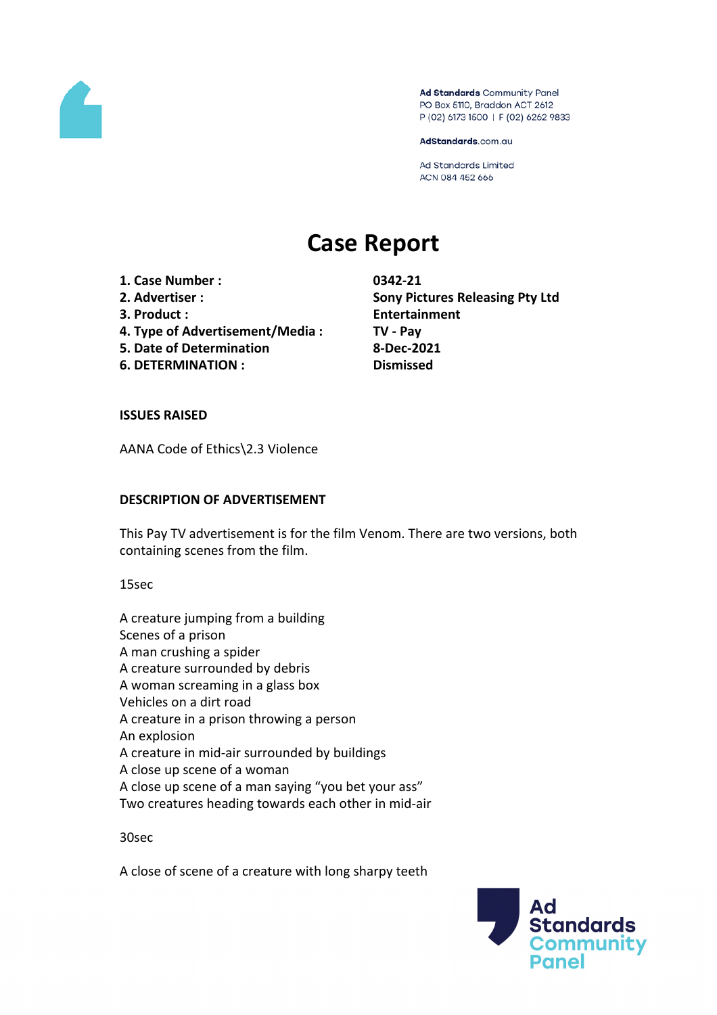

Ad Standards Community Panel PO Box 5110, Braddon ACT 2612 P (02) 6173 1500 | F (02) 6262 9833

AdStandards.com.au

Ad Standards Limited ACN 084 452 666

# **Case Report**

**1. Case Number : 0342-21**

- 
- 
- **4. Type of Advertisement/Media : TV - Pay**
- **5. Date of Determination 8-Dec-2021**
- **6. DETERMINATION : Dismissed**

**2. Advertiser : Sony Pictures Releasing Pty Ltd 3. Product : Entertainment**

## **ISSUES RAISED**

AANA Code of Ethics\2.3 Violence

## **DESCRIPTION OF ADVERTISEMENT**

This Pay TV advertisement is for the film Venom. There are two versions, both containing scenes from the film.

15sec

A creature jumping from a building Scenes of a prison A man crushing a spider A creature surrounded by debris A woman screaming in a glass box Vehicles on a dirt road A creature in a prison throwing a person An explosion A creature in mid-air surrounded by buildings A close up scene of a woman A close up scene of a man saying "you bet your ass" Two creatures heading towards each other in mid-air

30sec

A close of scene of a creature with long sharpy teeth

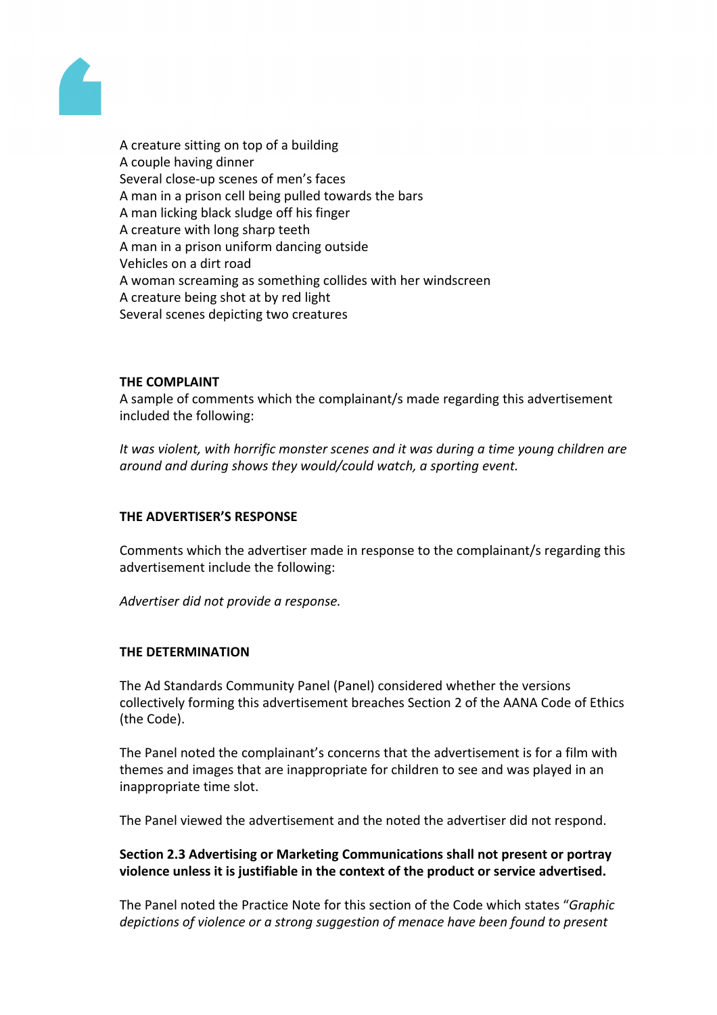

A creature sitting on top of a building A couple having dinner Several close-up scenes of men's faces A man in a prison cell being pulled towards the bars A man licking black sludge off his finger A creature with long sharp teeth A man in a prison uniform dancing outside Vehicles on a dirt road A woman screaming as something collides with her windscreen A creature being shot at by red light Several scenes depicting two creatures

## **THE COMPLAINT**

A sample of comments which the complainant/s made regarding this advertisement included the following:

*It was violent, with horrific monster scenes and it was during a time young children are around and during shows they would/could watch, a sporting event.*

# **THE ADVERTISER'S RESPONSE**

Comments which the advertiser made in response to the complainant/s regarding this advertisement include the following:

*Advertiser did not provide a response.*

#### **THE DETERMINATION**

The Ad Standards Community Panel (Panel) considered whether the versions collectively forming this advertisement breaches Section 2 of the AANA Code of Ethics (the Code).

The Panel noted the complainant's concerns that the advertisement is for a film with themes and images that are inappropriate for children to see and was played in an inappropriate time slot.

The Panel viewed the advertisement and the noted the advertiser did not respond.

## **Section 2.3 Advertising or Marketing Communications shall not present or portray violence unless it is justifiable in the context of the product or service advertised.**

The Panel noted the Practice Note for this section of the Code which states "*Graphic depictions of violence or a strong suggestion of menace have been found to present*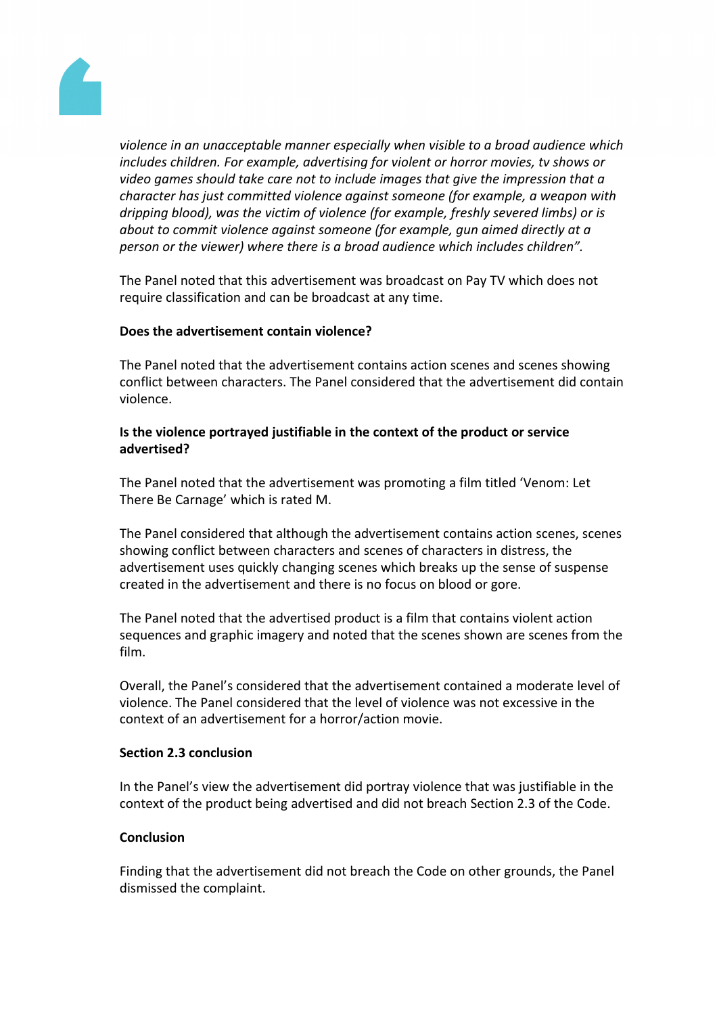

*violence in an unacceptable manner especially when visible to a broad audience which includes children. For example, advertising for violent or horror movies, tv shows or video games should take care not to include images that give the impression that a character has just committed violence against someone (for example, a weapon with dripping blood), was the victim of violence (for example, freshly severed limbs) or is about to commit violence against someone (for example, gun aimed directly at a person or the viewer) where there is a broad audience which includes children".*

The Panel noted that this advertisement was broadcast on Pay TV which does not require classification and can be broadcast at any time.

#### **Does the advertisement contain violence?**

The Panel noted that the advertisement contains action scenes and scenes showing conflict between characters. The Panel considered that the advertisement did contain violence.

#### **Is the violence portrayed justifiable in the context of the product or service advertised?**

The Panel noted that the advertisement was promoting a film titled 'Venom: Let There Be Carnage' which is rated M.

The Panel considered that although the advertisement contains action scenes, scenes showing conflict between characters and scenes of characters in distress, the advertisement uses quickly changing scenes which breaks up the sense of suspense created in the advertisement and there is no focus on blood or gore.

The Panel noted that the advertised product is a film that contains violent action sequences and graphic imagery and noted that the scenes shown are scenes from the film.

Overall, the Panel's considered that the advertisement contained a moderate level of violence. The Panel considered that the level of violence was not excessive in the context of an advertisement for a horror/action movie.

#### **Section 2.3 conclusion**

In the Panel's view the advertisement did portray violence that was justifiable in the context of the product being advertised and did not breach Section 2.3 of the Code.

## **Conclusion**

Finding that the advertisement did not breach the Code on other grounds, the Panel dismissed the complaint.